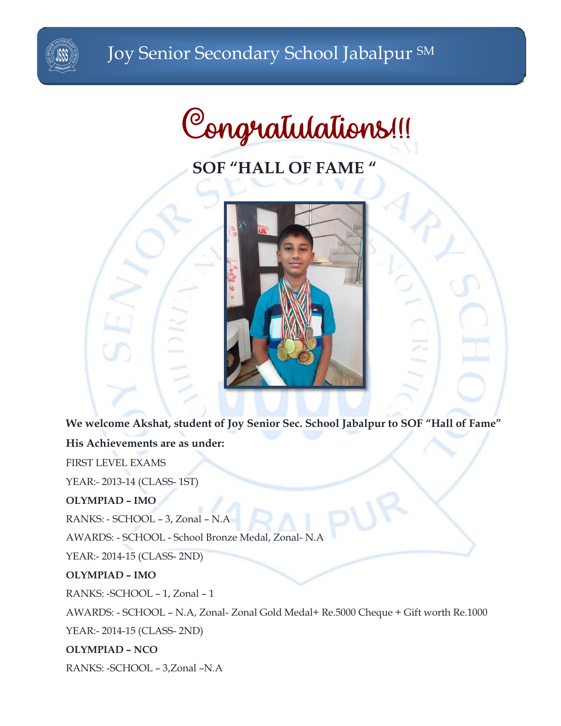

# **SOF "HALL OF FAME "**



**We welcome Akshat, student of Joy Senior Sec. School Jabalpur to SOF "Hall of Fame"**

# **His Achievements are as under:**

FIRST LEVEL EXAMS

YEAR:- 2013-14 (CLASS- 1ST)

# **OLYMPIAD – IMO**

RANKS: - SCHOOL – 3, Zonal – N.A

AWARDS: - SCHOOL - School Bronze Medal, Zonal- N.A

YEAR:- 2014-15 (CLASS- 2ND)

# **OLYMPIAD – IMO**

RANKS: -SCHOOL – 1, Zonal – 1

AWARDS: - SCHOOL – N.A, Zonal- Zonal Gold Medal+ Re.5000 Cheque + Gift worth Re.1000

YEAR:- 2014-15 (CLASS- 2ND)

**OLYMPIAD – NCO**

RANKS: -SCHOOL – 3,Zonal –N.A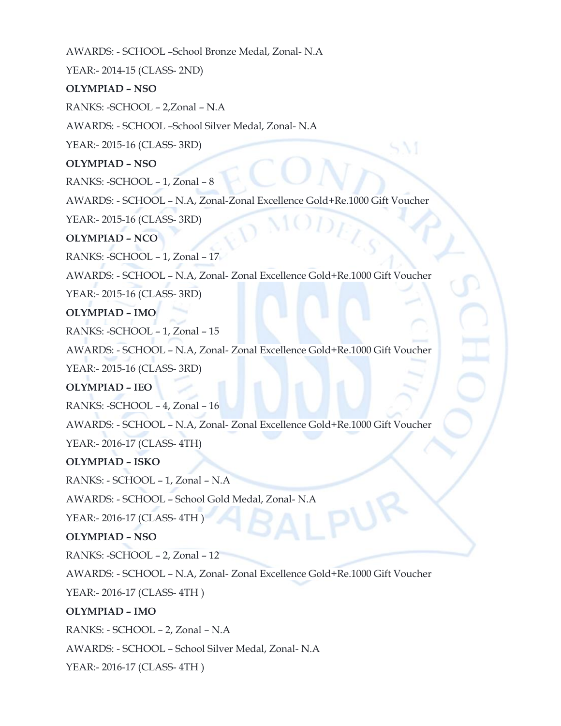AWARDS: - SCHOOL –School Bronze Medal, Zonal- N.A

YEAR:- 2014-15 (CLASS- 2ND)

## **OLYMPIAD – NSO**

RANKS: -SCHOOL – 2,Zonal – N.A

AWARDS: - SCHOOL –School Silver Medal, Zonal- N.A

YEAR:- 2015-16 (CLASS- 3RD)

**OLYMPIAD – NSO**

RANKS: -SCHOOL – 1, Zonal – 8

AWARDS: - SCHOOL – N.A, Zonal-Zonal Excellence Gold+Re.1000 Gift Voucher

YEAR:- 2015-16 (CLASS- 3RD)

## **OLYMPIAD – NCO**

RANKS: -SCHOOL – 1, Zonal – 17

AWARDS: - SCHOOL – N.A, Zonal- Zonal Excellence Gold+Re.1000 Gift Voucher

YEAR:- 2015-16 (CLASS- 3RD)

## **OLYMPIAD – IMO**

RANKS: -SCHOOL – 1, Zonal – 15

AWARDS: - SCHOOL – N.A, Zonal- Zonal Excellence Gold+Re.1000 Gift Voucher

YEAR:- 2015-16 (CLASS- 3RD)

# **OLYMPIAD – IEO**

RANKS: -SCHOOL – 4, Zonal – 16

AWARDS: - SCHOOL – N.A, Zonal- Zonal Excellence Gold+Re.1000 Gift Voucher

YEAR:- 2016-17 (CLASS- 4TH)

#### **OLYMPIAD – ISKO**

RANKS: - SCHOOL – 1, Zonal – N.A

AWARDS: - SCHOOL – School Gold Medal, Zonal- N.A

YEAR:- 2016-17 (CLASS- 4TH )

# **OLYMPIAD – NSO**

RANKS: -SCHOOL – 2, Zonal – 12

AWARDS: - SCHOOL – N.A, Zonal- Zonal Excellence Gold+Re.1000 Gift Voucher

YEAR:- 2016-17 (CLASS- 4TH )

# **OLYMPIAD – IMO**

RANKS: - SCHOOL – 2, Zonal – N.A

AWARDS: - SCHOOL – School Silver Medal, Zonal- N.A

YEAR:- 2016-17 (CLASS- 4TH )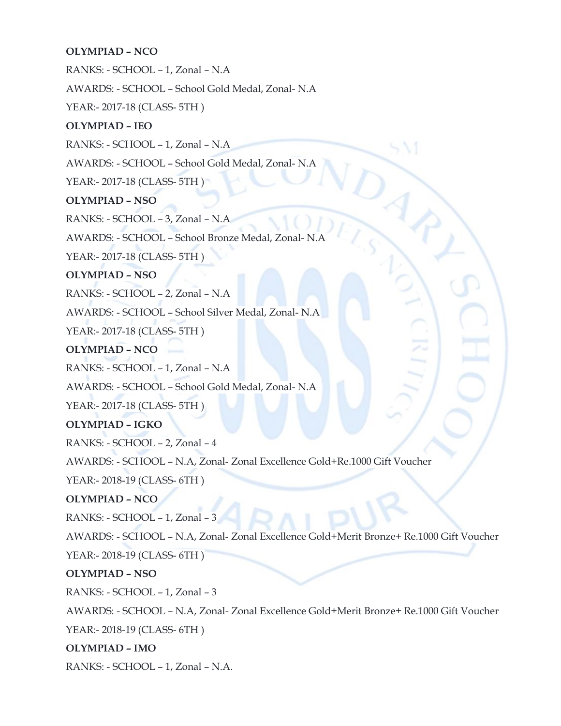# **OLYMPIAD – NCO**

RANKS: - SCHOOL – 1, Zonal – N.A

AWARDS: - SCHOOL – School Gold Medal, Zonal- N.A

YEAR:- 2017-18 (CLASS- 5TH )

# **OLYMPIAD – IEO**

RANKS: - SCHOOL – 1, Zonal – N.A

AWARDS: - SCHOOL – School Gold Medal, Zonal- N.A

YEAR:- 2017-18 (CLASS- 5TH )

# **OLYMPIAD – NSO**

RANKS: - SCHOOL – 3, Zonal – N.A

AWARDS: - SCHOOL – School Bronze Medal, Zonal- N.A

YEAR:- 2017-18 (CLASS- 5TH )

**OLYMPIAD – NSO**

RANKS: - SCHOOL – 2, Zonal – N.A

AWARDS: - SCHOOL – School Silver Medal, Zonal- N.A

YEAR:- 2017-18 (CLASS- 5TH )

**OLYMPIAD – NCO**

RANKS: - SCHOOL – 1, Zonal – N.A

AWARDS: - SCHOOL – School Gold Medal, Zonal- N.A

YEAR:- 2017-18 (CLASS- 5TH)

**OLYMPIAD – IGKO**

RANKS: - SCHOOL – 2, Zonal – 4

AWARDS: - SCHOOL – N.A, Zonal- Zonal Excellence Gold+Re.1000 Gift Voucher

YEAR:- 2018-19 (CLASS- 6TH )

**OLYMPIAD – NCO**

RANKS: - SCHOOL – 1, Zonal – 3

AWARDS: - SCHOOL – N.A, Zonal- Zonal Excellence Gold+Merit Bronze+ Re.1000 Gift Voucher

YEAR:- 2018-19 (CLASS- 6TH)

**OLYMPIAD – NSO**

RANKS: - SCHOOL – 1, Zonal – 3

AWARDS: - SCHOOL – N.A, Zonal- Zonal Excellence Gold+Merit Bronze+ Re.1000 Gift Voucher YEAR:- 2018-19 (CLASS- 6TH )

**OLYMPIAD – IMO**

RANKS: - SCHOOL – 1, Zonal – N.A.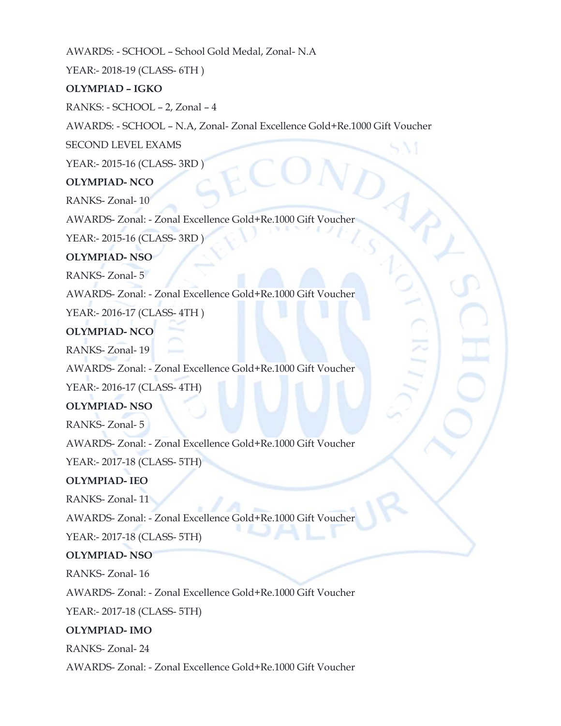AWARDS: - SCHOOL – School Gold Medal, Zonal- N.A

YEAR:- 2018-19 (CLASS- 6TH )

# **OLYMPIAD – IGKO**

RANKS: - SCHOOL – 2, Zonal – 4

AWARDS: - SCHOOL – N.A, Zonal- Zonal Excellence Gold+Re.1000 Gift Voucher

SECOND LEVEL EXAMS

YEAR:- 2015-16 (CLASS- 3RD )

## **OLYMPIAD- NCO**

RANKS- Zonal- 10

AWARDS- Zonal: - Zonal Excellence Gold+Re.1000 Gift Voucher

YEAR:- 2015-16 (CLASS- 3RD )

# **OLYMPIAD- NSO**

RANKS- Zonal- 5

AWARDS- Zonal: - Zonal Excellence Gold+Re.1000 Gift Voucher

YEAR:- 2016-17 (CLASS- 4TH )

## **OLYMPIAD- NCO**

RANKS- Zonal- 19

AWARDS- Zonal: - Zonal Excellence Gold+Re.1000 Gift Voucher

YEAR:- 2016-17 (CLASS- 4TH)

# **OLYMPIAD- NSO**

RANKS- Zonal- 5

AWARDS- Zonal: - Zonal Excellence Gold+Re.1000 Gift Voucher

YEAR:- 2017-18 (CLASS- 5TH)

#### **OLYMPIAD- IEO**

RANKS- Zonal- 11

AWARDS- Zonal: - Zonal Excellence Gold+Re.1000 Gift Voucher

YEAR:- 2017-18 (CLASS- 5TH)

#### **OLYMPIAD- NSO**

RANKS- Zonal- 16

AWARDS- Zonal: - Zonal Excellence Gold+Re.1000 Gift Voucher

YEAR:- 2017-18 (CLASS- 5TH)

# **OLYMPIAD- IMO**

RANKS- Zonal- 24

AWARDS- Zonal: - Zonal Excellence Gold+Re.1000 Gift Voucher